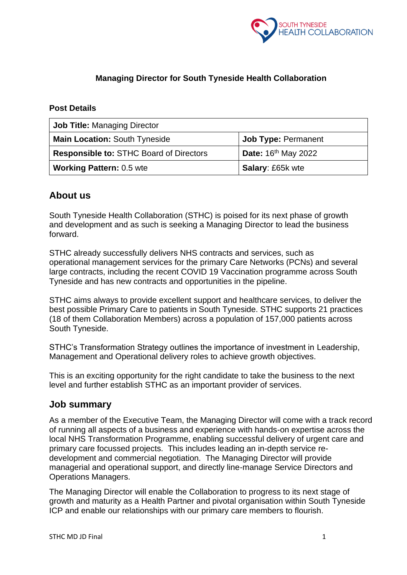

# **Managing Director for South Tyneside Health Collaboration**

#### **Post Details**

| <b>Job Title: Managing Director</b>            |                                 |  |
|------------------------------------------------|---------------------------------|--|
| <b>Main Location: South Tyneside</b>           | <b>Job Type: Permanent</b>      |  |
| <b>Responsible to: STHC Board of Directors</b> | Date: 16 <sup>th</sup> May 2022 |  |
| <b>Working Pattern: 0.5 wte</b>                | <b>Salary: £65k wte</b>         |  |

# **About us**

South Tyneside Health Collaboration (STHC) is poised for its next phase of growth and development and as such is seeking a Managing Director to lead the business forward.

STHC already successfully delivers NHS contracts and services, such as operational management services for the primary Care Networks (PCNs) and several large contracts, including the recent COVID 19 Vaccination programme across South Tyneside and has new contracts and opportunities in the pipeline.

STHC aims always to provide excellent support and healthcare services, to deliver the best possible Primary Care to patients in South Tyneside. STHC supports 21 practices (18 of them Collaboration Members) across a population of 157,000 patients across South Tyneside.

STHC's Transformation Strategy outlines the importance of investment in Leadership, Management and Operational delivery roles to achieve growth objectives.

This is an exciting opportunity for the right candidate to take the business to the next level and further establish STHC as an important provider of services.

## **Job summary**

As a member of the Executive Team, the Managing Director will come with a track record of running all aspects of a business and experience with hands-on expertise across the local NHS Transformation Programme, enabling successful delivery of urgent care and primary care focussed projects. This includes leading an in-depth service redevelopment and commercial negotiation. The Managing Director will provide managerial and operational support, and directly line-manage Service Directors and Operations Managers.

The Managing Director will enable the Collaboration to progress to its next stage of growth and maturity as a Health Partner and pivotal organisation within South Tyneside ICP and enable our relationships with our primary care members to flourish.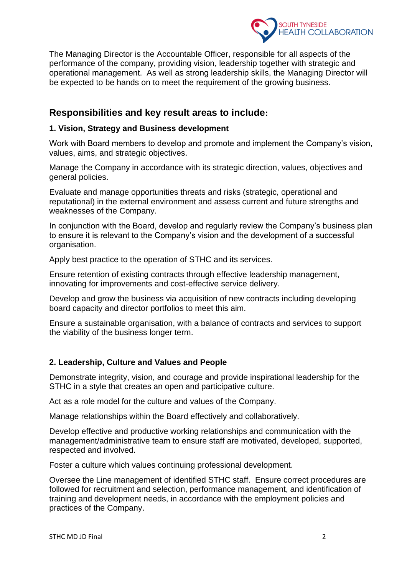

The Managing Director is the Accountable Officer, responsible for all aspects of the performance of the company, providing vision, leadership together with strategic and operational management. As well as strong leadership skills, the Managing Director will be expected to be hands on to meet the requirement of the growing business.

# **Responsibilities and key result areas to include:**

#### **1. Vision, Strategy and Business development**

Work with Board members to develop and promote and implement the Company's vision, values, aims, and strategic objectives.

Manage the Company in accordance with its strategic direction, values, objectives and general policies.

Evaluate and manage opportunities threats and risks (strategic, operational and reputational) in the external environment and assess current and future strengths and weaknesses of the Company.

In conjunction with the Board, develop and regularly review the Company's business plan to ensure it is relevant to the Company's vision and the development of a successful organisation.

Apply best practice to the operation of STHC and its services.

Ensure retention of existing contracts through effective leadership management, innovating for improvements and cost-effective service delivery.

Develop and grow the business via acquisition of new contracts including developing board capacity and director portfolios to meet this aim.

Ensure a sustainable organisation, with a balance of contracts and services to support the viability of the business longer term.

## **2. Leadership, Culture and Values and People**

Demonstrate integrity, vision, and courage and provide inspirational leadership for the STHC in a style that creates an open and participative culture.

Act as a role model for the culture and values of the Company.

Manage relationships within the Board effectively and collaboratively.

Develop effective and productive working relationships and communication with the management/administrative team to ensure staff are motivated, developed, supported, respected and involved.

Foster a culture which values continuing professional development.

Oversee the Line management of identified STHC staff. Ensure correct procedures are followed for recruitment and selection, performance management, and identification of training and development needs, in accordance with the employment policies and practices of the Company.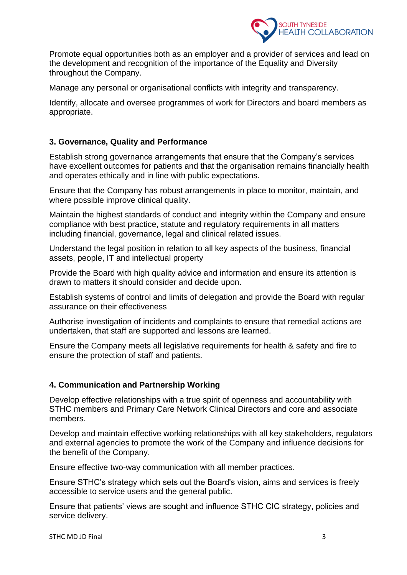

Promote equal opportunities both as an employer and a provider of services and lead on the development and recognition of the importance of the Equality and Diversity throughout the Company.

Manage any personal or organisational conflicts with integrity and transparency.

Identify, allocate and oversee programmes of work for Directors and board members as appropriate.

### **3. Governance, Quality and Performance**

Establish strong governance arrangements that ensure that the Company's services have excellent outcomes for patients and that the organisation remains financially health and operates ethically and in line with public expectations.

Ensure that the Company has robust arrangements in place to monitor, maintain, and where possible improve clinical quality.

Maintain the highest standards of conduct and integrity within the Company and ensure compliance with best practice, statute and regulatory requirements in all matters including financial, governance, legal and clinical related issues.

Understand the legal position in relation to all key aspects of the business, financial assets, people, IT and intellectual property

Provide the Board with high quality advice and information and ensure its attention is drawn to matters it should consider and decide upon.

Establish systems of control and limits of delegation and provide the Board with regular assurance on their effectiveness

Authorise investigation of incidents and complaints to ensure that remedial actions are undertaken, that staff are supported and lessons are learned.

Ensure the Company meets all legislative requirements for health & safety and fire to ensure the protection of staff and patients.

#### **4. Communication and Partnership Working**

Develop effective relationships with a true spirit of openness and accountability with STHC members and Primary Care Network Clinical Directors and core and associate members.

Develop and maintain effective working relationships with all key stakeholders, regulators and external agencies to promote the work of the Company and influence decisions for the benefit of the Company.

Ensure effective two-way communication with all member practices.

Ensure STHC's strategy which sets out the Board's vision, aims and services is freely accessible to service users and the general public.

Ensure that patients' views are sought and influence STHC CIC strategy, policies and service delivery.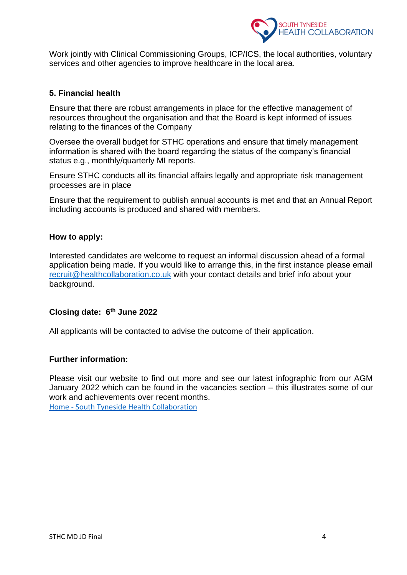

Work jointly with Clinical Commissioning Groups, ICP/ICS, the local authorities, voluntary services and other agencies to improve healthcare in the local area.

#### **5. Financial health**

Ensure that there are robust arrangements in place for the effective management of resources throughout the organisation and that the Board is kept informed of issues relating to the finances of the Company

Oversee the overall budget for STHC operations and ensure that timely management information is shared with the board regarding the status of the company's financial status e.g., monthly/quarterly MI reports.

Ensure STHC conducts all its financial affairs legally and appropriate risk management processes are in place

Ensure that the requirement to publish annual accounts is met and that an Annual Report including accounts is produced and shared with members.

#### **How to apply:**

Interested candidates are welcome to request an informal discussion ahead of a formal application being made. If you would like to arrange this, in the first instance please email [recruit@healthcollaboration.co.uk](mailto:recruit@healthcollaboration.co.uk) with your contact details and brief info about your background.

#### **Closing date: 6 th June 2022**

All applicants will be contacted to advise the outcome of their application.

#### **Further information:**

Please visit our website to find out more and see our latest infographic from our AGM January 2022 which can be found in the vacancies section – this illustrates some of our work and achievements over recent months. Home - [South Tyneside Health Collaboration](https://healthcollaboration.co.uk/)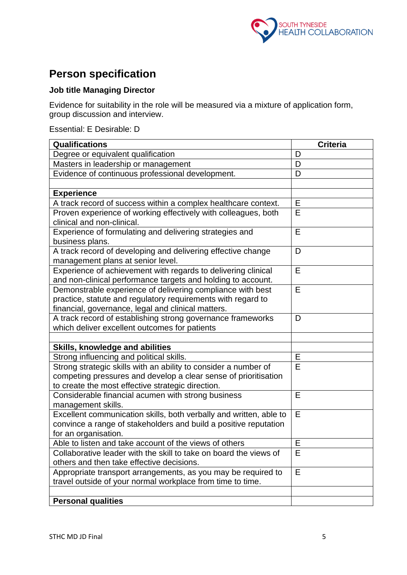

# **Person specification**

# **Job title Managing Director**

Evidence for suitability in the role will be measured via a mixture of application form, group discussion and interview.

Essential: E Desirable: D

| Qualifications                                                                                                                         | <b>Criteria</b> |
|----------------------------------------------------------------------------------------------------------------------------------------|-----------------|
| Degree or equivalent qualification                                                                                                     | D               |
| Masters in leadership or management                                                                                                    | D               |
| Evidence of continuous professional development.                                                                                       | D               |
|                                                                                                                                        |                 |
| <b>Experience</b>                                                                                                                      |                 |
| A track record of success within a complex healthcare context.                                                                         | Е               |
| Proven experience of working effectively with colleagues, both                                                                         | E               |
| clinical and non-clinical.                                                                                                             |                 |
| Experience of formulating and delivering strategies and                                                                                | E               |
| business plans.                                                                                                                        |                 |
| A track record of developing and delivering effective change                                                                           | D               |
| management plans at senior level.                                                                                                      |                 |
| Experience of achievement with regards to delivering clinical                                                                          | E               |
| and non-clinical performance targets and holding to account.                                                                           |                 |
| Demonstrable experience of delivering compliance with best                                                                             | E               |
| practice, statute and regulatory requirements with regard to                                                                           |                 |
| financial, governance, legal and clinical matters.                                                                                     |                 |
| A track record of establishing strong governance frameworks                                                                            | D               |
| which deliver excellent outcomes for patients                                                                                          |                 |
|                                                                                                                                        |                 |
| Skills, knowledge and abilities                                                                                                        |                 |
| Strong influencing and political skills.                                                                                               | Е               |
| Strong strategic skills with an ability to consider a number of                                                                        | E               |
| competing pressures and develop a clear sense of prioritisation                                                                        |                 |
| to create the most effective strategic direction.                                                                                      |                 |
| Considerable financial acumen with strong business                                                                                     | E               |
| management skills.                                                                                                                     | E               |
| Excellent communication skills, both verbally and written, able to<br>convince a range of stakeholders and build a positive reputation |                 |
| for an organisation.                                                                                                                   |                 |
| Able to listen and take account of the views of others                                                                                 | E               |
| Collaborative leader with the skill to take on board the views of                                                                      | Е               |
| others and then take effective decisions.                                                                                              |                 |
| Appropriate transport arrangements, as you may be required to                                                                          | E               |
| travel outside of your normal workplace from time to time.                                                                             |                 |
|                                                                                                                                        |                 |
| <b>Personal qualities</b>                                                                                                              |                 |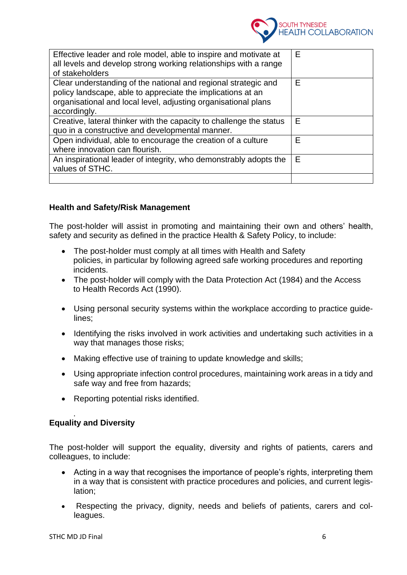

| Effective leader and role model, able to inspire and motivate at<br>all levels and develop strong working relationships with a range<br>of stakeholders                                                         | E |
|-----------------------------------------------------------------------------------------------------------------------------------------------------------------------------------------------------------------|---|
| Clear understanding of the national and regional strategic and<br>policy landscape, able to appreciate the implications at an<br>organisational and local level, adjusting organisational plans<br>accordingly. | Е |
| Creative, lateral thinker with the capacity to challenge the status<br>quo in a constructive and developmental manner.                                                                                          | Е |
| Open individual, able to encourage the creation of a culture<br>where innovation can flourish.                                                                                                                  | E |
| An inspirational leader of integrity, who demonstrably adopts the<br>values of STHC.                                                                                                                            | Е |
|                                                                                                                                                                                                                 |   |

#### **Health and Safety/Risk Management**

The post-holder will assist in promoting and maintaining their own and others' health, safety and security as defined in the practice Health & Safety Policy, to include:

- The post-holder must comply at all times with Health and Safety policies, in particular by following agreed safe working procedures and reporting incidents.
- The post-holder will comply with the Data Protection Act (1984) and the Access to Health Records Act (1990).
- Using personal security systems within the workplace according to practice guidelines;
- Identifying the risks involved in work activities and undertaking such activities in a way that manages those risks;
- Making effective use of training to update knowledge and skills:
- Using appropriate infection control procedures, maintaining work areas in a tidy and safe way and free from hazards;
- Reporting potential risks identified.

#### **Equality and Diversity**

.

The post-holder will support the equality, diversity and rights of patients, carers and colleagues, to include:

- Acting in a way that recognises the importance of people's rights, interpreting them in a way that is consistent with practice procedures and policies, and current legislation;
- Respecting the privacy, dignity, needs and beliefs of patients, carers and colleagues.